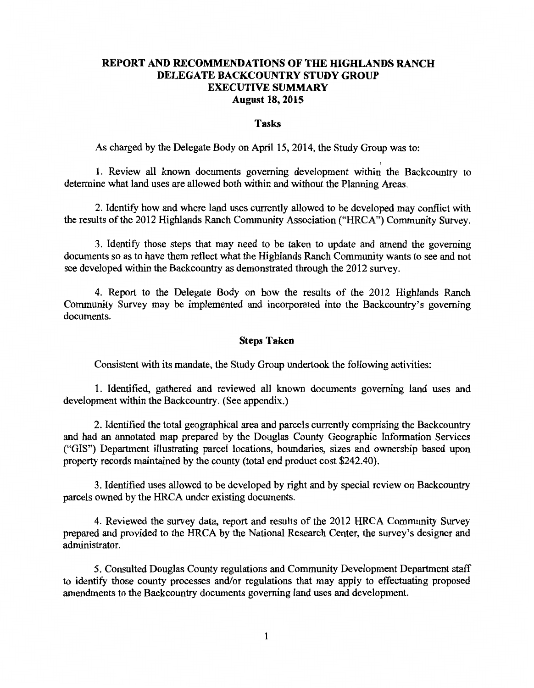# **REPORT AND RECOMMENDATIONS OF THE HIGHLANDS RANCH DELEGATE BACKCOUNTRY STUDY GROUP EXECUTIVE SUMMARY August 18, 2015**

#### **Tasks**

As charged by the Delegate Body on April 15, 2014, the Study Group was to:

1. Review all known documents governing development within the Backcountry to determine what land uses are allowed both within and without the Planning Areas.

2. Identify how and where land uses currently allowed to be developed may conflict with the results of the 2012 Highlands Ranch Community Association ("HRCA") Community Survey.

3. Identify those steps that may need to be taken to update and amend the governing documents so as to have them reflect what the Highlands Ranch Community wants to see and not see developed within the Backcountry as demonstrated through the 2012 survey.

4. Report to the Delegate Body on how the results of the 2012 Highlands Ranch Community Survey may be implemented and incorporated into the Backcountry's governing documents.

## **Steps Taken**

Consistent with its mandate, the Study Group undertook the following activities:

1. Identified, gathered and reviewed all known documents governing land uses and development within the Backcountry. (See appendix.)

2. Identified the total geographical area and parcels currently comprising the Backcountry and had an annotated map prepared by the Douglas County Geographic Information Services ("GIS") Department illustrating parcel locations, boundaries, sizes and ownership based upon property records maintained by the county (total end product cost \$242.40).

3. Identified uses allowed to be developed by right and by special review on Backcountry parcels owned by the HRCA under existing documents.

4. Reviewed the survey data, report and results of the 2012 HRCA Community Survey prepared and provided to the HRCA by the National Research Center, the survey's designer and administrator.

5. Consulted Douglas County regulations and Community Development Department staff to identify those county processes and/or regulations that may apply to effectuating proposed amendments to the Backcountry documents governing land uses and development.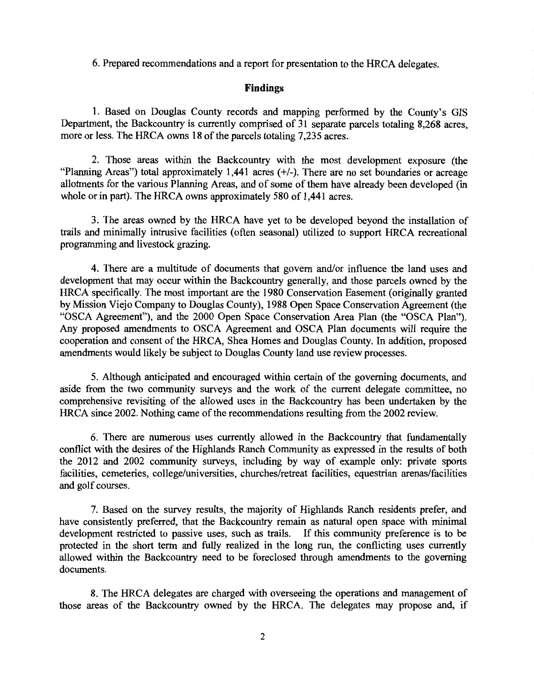6. Prepared recommendations and a report for presentation to the HRCA delegates.

### **Findings**

1. Based on Douglas County records and mapping performed by the County's GIS Department, the Backcountry is currently comprised of 31 separate parcels totaling 8,268 acres, more or less. The HRCA owns 18 of the parcels totaling 7,235 acres.

2. Those areas within the Backcountry with the most development exposure (the "Planning Areas") total approximately 1,441 acres(+/-). There are no set boundaries or acreage allotments for the various Planning Areas, and of some of them have already been developed (in whole or in part). The HRCA owns approximately 580 of 1,441 acres.

3. The areas owned by the HRCA have yet to be developed beyond the installation of trails and minimally intrusive facilities (often seasonal) utilized to support HRCA recreational programming and livestock grazing.

4. There are a multitude of documents that govern and/or influence the land uses and development that may occur within the Backcountry generally, and those parcels owned by the HRCA specifically. The most important are the 1980 Conservation Easement (originally granted by Mission Viejo Company to Douglas County), 1988 Open Space Conservation Agreement (the "OSCA Agreement"), and the 2000 Open Space Conservation Area Plan (the "OSCA Plan"). Any proposed amendments to OSCA Agreement and OSCA Plan documents will require the cooperation and consent of the HRCA, Shea Homes and Douglas County. In addition, proposed amendments would likely be subject to Douglas County land use review processes.

5. Although anticipated and encouraged within certain of the governing documents, and aside from the two community surveys and the work of the current delegate committee, no comprehensive revisiting of the allowed uses in the Backcountry has been undertaken by the HRCA since 2002. Nothing came of the recommendations resulting from the 2002 review.

6. There are numerous uses currently allowed in the Backcountry that fundamentally conflict with the desires of the Highlands Ranch Community as expressed in the results of both the 2012 and 2002 community surveys, including by way of example only: private sports facilities, cemeteries, college/universities, churches/retreat facilities, equestrian arenas/facilities and golf courses.

7. Based on the survey results, the majority of Highlands Ranch residents prefer, and have consistently preferred, that the Backcountry remain as natural open space with minimal development restricted to passive uses, such as trails. If this community preference is to be protected in the short term and fully realized in the long run, the conflicting uses currently allowed within the Backcountry need to be foreclosed through amendments to the governing documents.

8. The HRCA delegates are charged with overseeing the operations and management of those areas of the Backcountry owned by the HRCA. The delegates may propose and, if